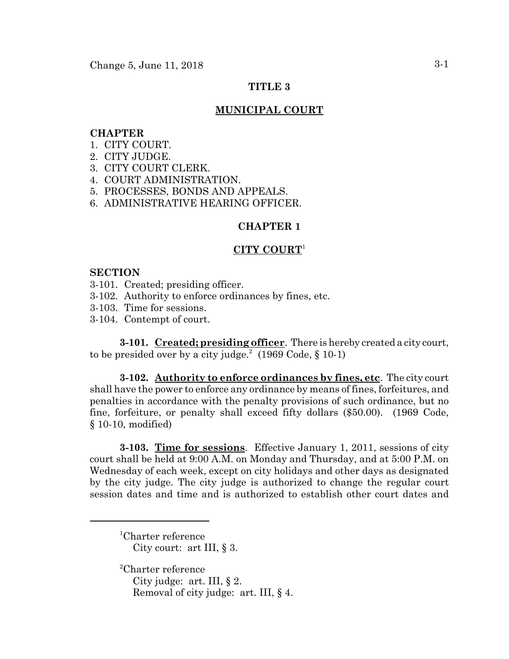### **TITLE 3**

### **MUNICIPAL COURT**

### **CHAPTER**

- 1. CITY COURT.
- 2. CITY JUDGE.
- 3. CITY COURT CLERK.
- 4. COURT ADMINISTRATION.
- 5. PROCESSES, BONDS AND APPEALS.
- 6. ADMINISTRATIVE HEARING OFFICER.

### **CHAPTER 1**

### **CITY COURT**<sup>1</sup>

#### **SECTION**

- 3-101. Created; presiding officer.
- 3-102. Authority to enforce ordinances by fines, etc.
- 3-103. Time for sessions.
- 3-104. Contempt of court.

**3-101. Created; presiding officer**. There is hereby created a city court, to be presided over by a city judge.<sup>2</sup> (1969 Code,  $\S$  10-1)

**3-102. Authority to enforce ordinances by fines, etc**. The city court shall have the power to enforce any ordinance by means of fines, forfeitures, and penalties in accordance with the penalty provisions of such ordinance, but no fine, forfeiture, or penalty shall exceed fifty dollars (\$50.00). (1969 Code, § 10-10, modified)

**3-103. Time for sessions**. Effective January 1, 2011, sessions of city court shall be held at 9:00 A.M. on Monday and Thursday, and at 5:00 P.M. on Wednesday of each week, except on city holidays and other days as designated by the city judge. The city judge is authorized to change the regular court session dates and time and is authorized to establish other court dates and

1 Charter reference City court: art III, § 3.

2 Charter reference City judge: art. III,  $\S 2$ . Removal of city judge: art. III, § 4.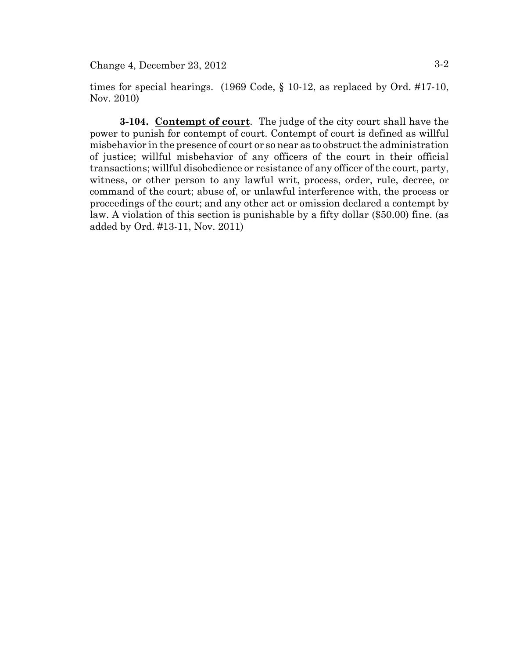times for special hearings. (1969 Code, § 10-12, as replaced by Ord. #17-10, Nov. 2010)

**3-104. Contempt of court**. The judge of the city court shall have the power to punish for contempt of court. Contempt of court is defined as willful misbehavior in the presence of court or so near as to obstruct the administration of justice; willful misbehavior of any officers of the court in their official transactions; willful disobedience or resistance of any officer of the court, party, witness, or other person to any lawful writ, process, order, rule, decree, or command of the court; abuse of, or unlawful interference with, the process or proceedings of the court; and any other act or omission declared a contempt by law. A violation of this section is punishable by a fifty dollar (\$50.00) fine. (as added by Ord. #13-11, Nov. 2011)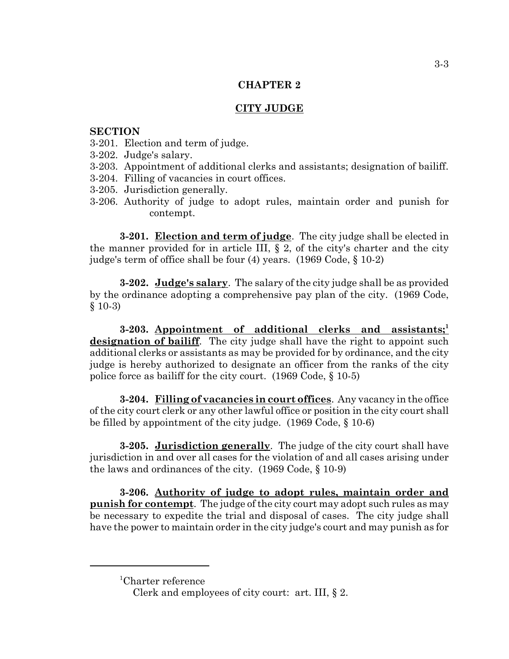## **CITY JUDGE**

#### **SECTION**

- 3-201. Election and term of judge.
- 3-202. Judge's salary.
- 3-203. Appointment of additional clerks and assistants; designation of bailiff.
- 3-204. Filling of vacancies in court offices.
- 3-205. Jurisdiction generally.
- 3-206. Authority of judge to adopt rules, maintain order and punish for contempt.

**3-201. Election and term of judge**. The city judge shall be elected in the manner provided for in article III,  $\S 2$ , of the city's charter and the city judge's term of office shall be four (4) years. (1969 Code, § 10-2)

**3-202. Judge's salary**. The salary of the city judge shall be as provided by the ordinance adopting a comprehensive pay plan of the city. (1969 Code,  $§$  10-3)

**3-203. Appointment of additional clerks and assistants;<sup>1</sup> designation of bailiff**. The city judge shall have the right to appoint such additional clerks or assistants as may be provided for by ordinance, and the city judge is hereby authorized to designate an officer from the ranks of the city police force as bailiff for the city court. (1969 Code, § 10-5)

**3-204. Filling of vacancies in court offices**. Any vacancy in the office of the city court clerk or any other lawful office or position in the city court shall be filled by appointment of the city judge. (1969 Code, § 10-6)

**3-205. Jurisdiction generally**. The judge of the city court shall have jurisdiction in and over all cases for the violation of and all cases arising under the laws and ordinances of the city. (1969 Code, § 10-9)

**3-206. Authority of judge to adopt rules, maintain order and punish for contempt**. The judge of the city court may adopt such rules as may be necessary to expedite the trial and disposal of cases. The city judge shall have the power to maintain order in the city judge's court and may punish as for

<sup>1</sup> Charter reference

Clerk and employees of city court: art. III, § 2.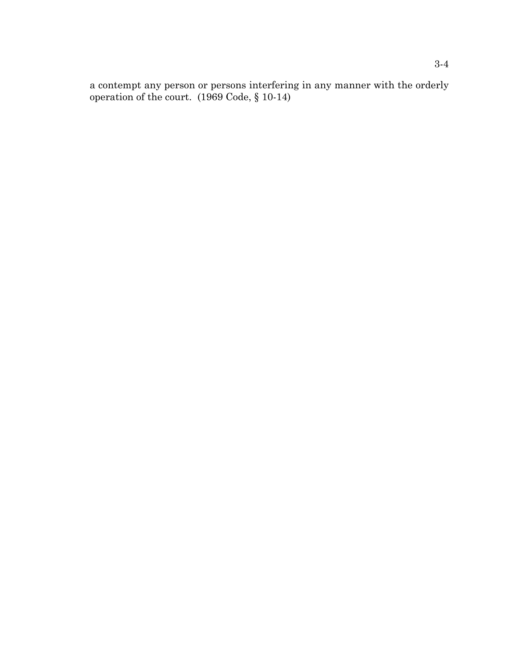a contempt any person or persons interfering in any manner with the orderly operation of the court. (1969 Code, § 10-14)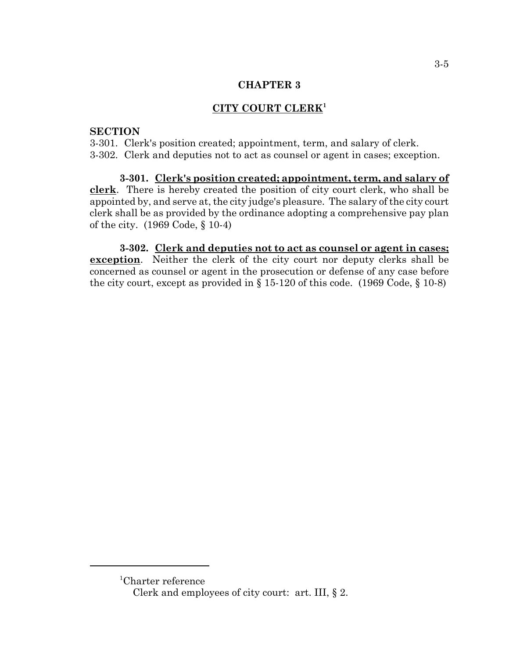### **CITY COURT CLERK<sup>1</sup>**

#### **SECTION**

3-301. Clerk's position created; appointment, term, and salary of clerk. 3-302. Clerk and deputies not to act as counsel or agent in cases; exception.

**3-301. Clerk's position created; appointment, term, and salary of clerk**. There is hereby created the position of city court clerk, who shall be appointed by, and serve at, the city judge's pleasure. The salary of the city court clerk shall be as provided by the ordinance adopting a comprehensive pay plan of the city. (1969 Code, § 10-4)

**3-302. Clerk and deputies not to act as counsel or agent in cases; <u>exception</u>**. Neither the clerk of the city court nor deputy clerks shall be concerned as counsel or agent in the prosecution or defense of any case before the city court, except as provided in  $\S 15-120$  of this code. (1969 Code,  $\S 10-8$ )

<sup>1</sup> Charter reference

Clerk and employees of city court: art. III, § 2.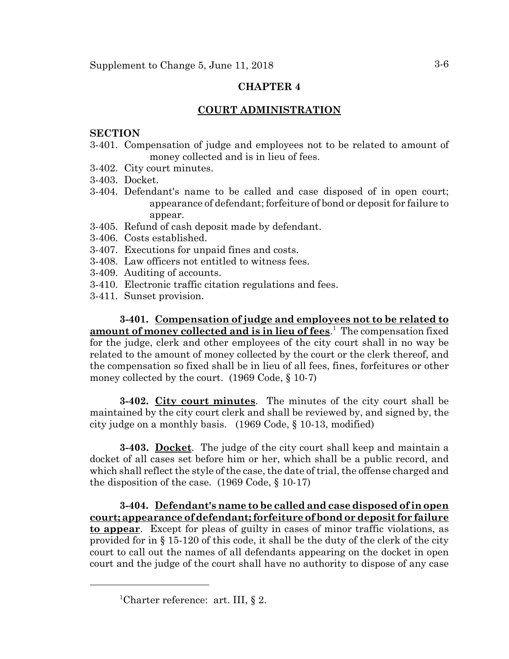### **COURT ADMINISTRATION**

#### **SECTION**

- 3-401. Compensation of judge and employees not to be related to amount of money collected and is in lieu of fees.
- 3-402. City court minutes.
- 3-403. Docket.
- 3-404. Defendant's name to be called and case disposed of in open court; appearance of defendant; forfeiture of bond or deposit for failure to appear.
- 3-405. Refund of cash deposit made by defendant.
- 3-406. Costs established.
- 3-407. Executions for unpaid fines and costs.
- 3-408. Law officers not entitled to witness fees.
- 3-409. Auditing of accounts.
- 3-410. Electronic traffic citation regulations and fees.
- 3-411. Sunset provision.

**3-401. Compensation of judge and employees not to be related to amount of money collected and is in lieu of fees**. 1 The compensation fixed for the judge, clerk and other employees of the city court shall in no way be related to the amount of money collected by the court or the clerk thereof, and the compensation so fixed shall be in lieu of all fees, fines, forfeitures or other money collected by the court. (1969 Code, § 10-7)

**3-402. City court minutes**. The minutes of the city court shall be maintained by the city court clerk and shall be reviewed by, and signed by, the city judge on a monthly basis. (1969 Code, § 10-13, modified)

**3-403. Docket**. The judge of the city court shall keep and maintain a docket of all cases set before him or her, which shall be a public record, and which shall reflect the style of the case, the date of trial, the offense charged and the disposition of the case. (1969 Code, § 10-17)

**3-404. Defendant's name to be called and case disposed of in open court; appearance of defendant; forfeiture of bond or deposit for failure to appear**. Except for pleas of guilty in cases of minor traffic violations, as provided for in § 15-120 of this code, it shall be the duty of the clerk of the city court to call out the names of all defendants appearing on the docket in open court and the judge of the court shall have no authority to dispose of any case

<sup>&</sup>lt;sup>1</sup>Charter reference: art. III, § 2.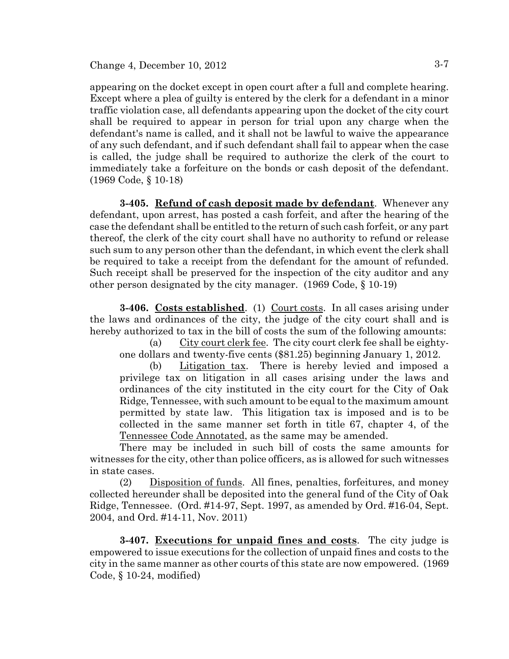appearing on the docket except in open court after a full and complete hearing. Except where a plea of guilty is entered by the clerk for a defendant in a minor traffic violation case, all defendants appearing upon the docket of the city court shall be required to appear in person for trial upon any charge when the defendant's name is called, and it shall not be lawful to waive the appearance of any such defendant, and if such defendant shall fail to appear when the case is called, the judge shall be required to authorize the clerk of the court to immediately take a forfeiture on the bonds or cash deposit of the defendant. (1969 Code, § 10-18)

**3-405. Refund of cash deposit made by defendant**. Whenever any defendant, upon arrest, has posted a cash forfeit, and after the hearing of the case the defendant shall be entitled to the return of such cash forfeit, or any part thereof, the clerk of the city court shall have no authority to refund or release such sum to any person other than the defendant, in which event the clerk shall be required to take a receipt from the defendant for the amount of refunded. Such receipt shall be preserved for the inspection of the city auditor and any other person designated by the city manager. (1969 Code, § 10-19)

3-406. Costs established. (1) Court costs. In all cases arising under the laws and ordinances of the city, the judge of the city court shall and is hereby authorized to tax in the bill of costs the sum of the following amounts:

(a) City court clerk fee. The city court clerk fee shall be eightyone dollars and twenty-five cents (\$81.25) beginning January 1, 2012.

(b) Litigation tax. There is hereby levied and imposed a privilege tax on litigation in all cases arising under the laws and ordinances of the city instituted in the city court for the City of Oak Ridge, Tennessee, with such amount to be equal to the maximum amount permitted by state law. This litigation tax is imposed and is to be collected in the same manner set forth in title 67, chapter 4, of the Tennessee Code Annotated, as the same may be amended.

There may be included in such bill of costs the same amounts for witnesses for the city, other than police officers, as is allowed for such witnesses in state cases.

(2) Disposition of funds. All fines, penalties, forfeitures, and money collected hereunder shall be deposited into the general fund of the City of Oak Ridge, Tennessee. (Ord. #14-97, Sept. 1997, as amended by Ord. #16-04, Sept. 2004, and Ord. #14-11, Nov. 2011)

**3-407. Executions for unpaid fines and costs**. The city judge is empowered to issue executions for the collection of unpaid fines and costs to the city in the same manner as other courts of this state are now empowered. (1969 Code, § 10-24, modified)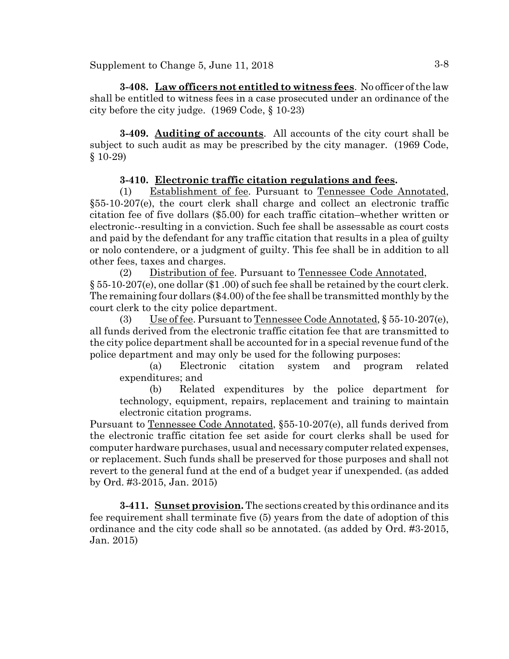Supplement to Change 5, June 11,  $2018$   $3-8$ 

**3-408. Law officers not entitled to witness fees**. No officer of the law shall be entitled to witness fees in a case prosecuted under an ordinance of the city before the city judge. (1969 Code, § 10-23)

**3-409. Auditing of accounts**. All accounts of the city court shall be subject to such audit as may be prescribed by the city manager. (1969 Code, § 10-29)

# **3-410. Electronic traffic citation regulations and fees.**

(1) Establishment of fee. Pursuant to Tennessee Code Annotated, §55-10-207(e), the court clerk shall charge and collect an electronic traffic citation fee of five dollars (\$5.00) for each traffic citation–whether written or electronic--resulting in a conviction. Such fee shall be assessable as court costs and paid by the defendant for any traffic citation that results in a plea of guilty or nolo contendere, or a judgment of guilty. This fee shall be in addition to all other fees, taxes and charges.

(2) Distribution of fee. Pursuant to Tennessee Code Annotated, § 55-10-207(e), one dollar (\$1 .00) of such fee shall be retained by the court clerk. The remaining four dollars (\$4.00) of the fee shall be transmitted monthly by the court clerk to the city police department.

(3) Use of fee. Pursuant to Tennessee Code Annotated, § 55-10-207(e), all funds derived from the electronic traffic citation fee that are transmitted to the city police department shall be accounted for in a special revenue fund of the police department and may only be used for the following purposes:

(a) Electronic citation system and program related expenditures; and

(b) Related expenditures by the police department for technology, equipment, repairs, replacement and training to maintain electronic citation programs.

Pursuant to <u>Tennessee Code Annotated</u>, §55-10-207(e), all funds derived from the electronic traffic citation fee set aside for court clerks shall be used for computer hardware purchases, usual and necessary computer related expenses, or replacement. Such funds shall be preserved for those purposes and shall not revert to the general fund at the end of a budget year if unexpended. (as added by Ord. #3-2015, Jan. 2015)

**3-411. Sunset provision.** The sections created by this ordinance and its fee requirement shall terminate five (5) years from the date of adoption of this ordinance and the city code shall so be annotated. (as added by Ord. #3-2015, Jan. 2015)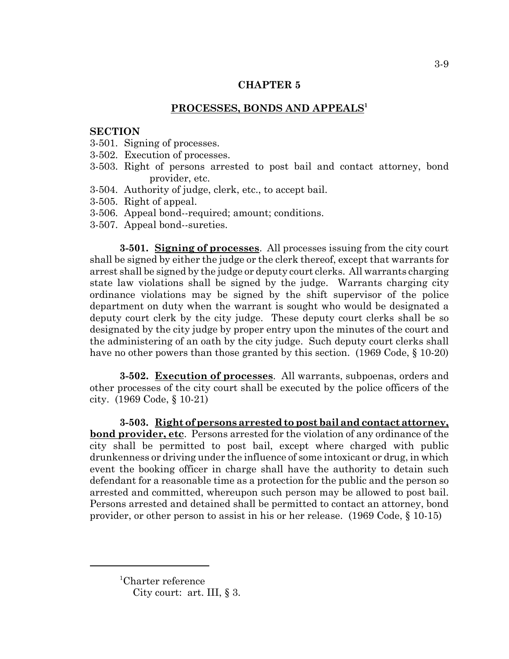### **PROCESSES, BONDS AND APPEALS<sup>1</sup>**

#### **SECTION**

- 3-501. Signing of processes.
- 3-502. Execution of processes.
- 3-503. Right of persons arrested to post bail and contact attorney, bond provider, etc.
- 3-504. Authority of judge, clerk, etc., to accept bail.
- 3-505. Right of appeal.
- 3-506. Appeal bond--required; amount; conditions.
- 3-507. Appeal bond--sureties.

**3-501. Signing of processes**. All processes issuing from the city court shall be signed by either the judge or the clerk thereof, except that warrants for arrest shall be signed by the judge or deputy court clerks. All warrants charging state law violations shall be signed by the judge. Warrants charging city ordinance violations may be signed by the shift supervisor of the police department on duty when the warrant is sought who would be designated a deputy court clerk by the city judge. These deputy court clerks shall be so designated by the city judge by proper entry upon the minutes of the court and the administering of an oath by the city judge. Such deputy court clerks shall have no other powers than those granted by this section. (1969 Code, § 10-20)

**3-502. Execution of processes**. All warrants, subpoenas, orders and other processes of the city court shall be executed by the police officers of the city. (1969 Code, § 10-21)

**3-503. Right of persons arrested to post bail and contact attorney, bond provider, etc**. Persons arrested for the violation of any ordinance of the city shall be permitted to post bail, except where charged with public drunkenness or driving under the influence of some intoxicant or drug, in which event the booking officer in charge shall have the authority to detain such defendant for a reasonable time as a protection for the public and the person so arrested and committed, whereupon such person may be allowed to post bail. Persons arrested and detained shall be permitted to contact an attorney, bond provider, or other person to assist in his or her release. (1969 Code, § 10-15)

<sup>1</sup> Charter reference

City court: art. III, § 3.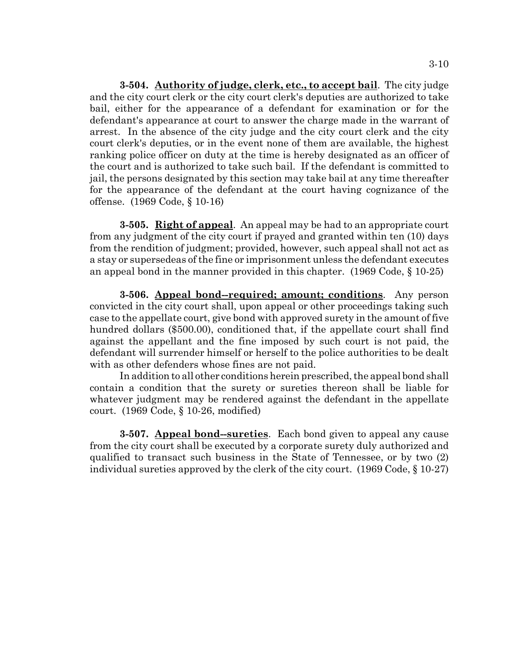**3-504. Authority of judge, clerk, etc., to accept bail**. The city judge and the city court clerk or the city court clerk's deputies are authorized to take bail, either for the appearance of a defendant for examination or for the defendant's appearance at court to answer the charge made in the warrant of arrest. In the absence of the city judge and the city court clerk and the city court clerk's deputies, or in the event none of them are available, the highest ranking police officer on duty at the time is hereby designated as an officer of the court and is authorized to take such bail. If the defendant is committed to jail, the persons designated by this section may take bail at any time thereafter for the appearance of the defendant at the court having cognizance of the offense. (1969 Code, § 10-16)

**3-505. Right of appeal**. An appeal may be had to an appropriate court from any judgment of the city court if prayed and granted within ten (10) days from the rendition of judgment; provided, however, such appeal shall not act as a stay or supersedeas of the fine or imprisonment unless the defendant executes an appeal bond in the manner provided in this chapter. (1969 Code, § 10-25)

**3-506. Appeal bond--required; amount; conditions**. Any person convicted in the city court shall, upon appeal or other proceedings taking such case to the appellate court, give bond with approved surety in the amount of five hundred dollars (\$500.00), conditioned that, if the appellate court shall find against the appellant and the fine imposed by such court is not paid, the defendant will surrender himself or herself to the police authorities to be dealt with as other defenders whose fines are not paid.

In addition to all other conditions herein prescribed, the appeal bond shall contain a condition that the surety or sureties thereon shall be liable for whatever judgment may be rendered against the defendant in the appellate court. (1969 Code, § 10-26, modified)

**3-507. Appeal bond--sureties**. Each bond given to appeal any cause from the city court shall be executed by a corporate surety duly authorized and qualified to transact such business in the State of Tennessee, or by two (2) individual sureties approved by the clerk of the city court. (1969 Code, § 10-27)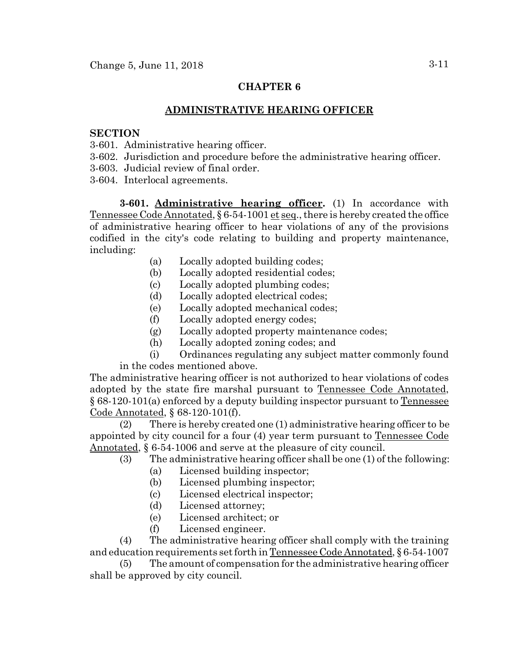# **ADMINISTRATIVE HEARING OFFICER**

### **SECTION**

- 3-601. Administrative hearing officer.
- 3-602. Jurisdiction and procedure before the administrative hearing officer.
- 3-603. Judicial review of final order.
- 3-604. Interlocal agreements.

**3-601. Administrative hearing officer.** (1) In accordance with Tennessee Code Annotated, § 6-54-1001 et seq., there is hereby created the office of administrative hearing officer to hear violations of any of the provisions codified in the city's code relating to building and property maintenance, including:

- (a) Locally adopted building codes;
- (b) Locally adopted residential codes;
- (c) Locally adopted plumbing codes;
- (d) Locally adopted electrical codes;
- (e) Locally adopted mechanical codes;
- (f) Locally adopted energy codes;
- (g) Locally adopted property maintenance codes;
- (h) Locally adopted zoning codes; and

(i) Ordinances regulating any subject matter commonly found in the codes mentioned above.

The administrative hearing officer is not authorized to hear violations of codes adopted by the state fire marshal pursuant to Tennessee Code Annotated, § 68-120-101(a) enforced by a deputy building inspector pursuant to Tennessee Code Annotated, § 68-120-101(f).

 (2) There is hereby created one (1) administrative hearing officer to be appointed by city council for a four (4) year term pursuant to Tennessee Code Annotated, § 6-54-1006 and serve at the pleasure of city council.

- (3) The administrative hearing officer shall be one (1) of the following:
	- (a) Licensed building inspector;
	- (b) Licensed plumbing inspector;
	- (c) Licensed electrical inspector;
	- (d) Licensed attorney;
	- (e) Licensed architect; or
	- (f) Licensed engineer.

(4) The administrative hearing officer shall comply with the training and education requirements set forth in Tennessee Code Annotated, § 6-54-1007

(5) The amount of compensation for the administrative hearing officer shall be approved by city council.